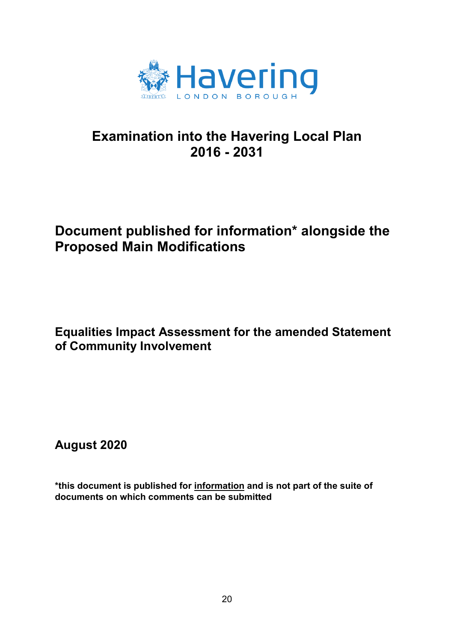

## **Examination into the Havering Local Plan 2016 - 2031**

## **Document published for information\* alongside the Proposed Main Modifications**

**Equalities Impact Assessment for the amended Statement of Community Involvement** 

**August 2020**

**\*this document is published for information and is not part of the suite of documents on which comments can be submitted**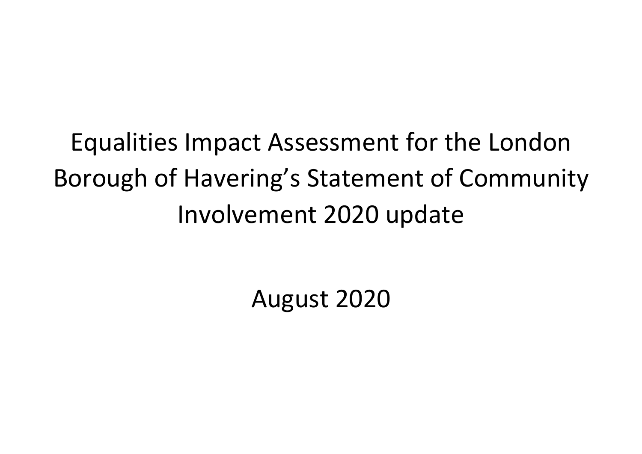Equalities Impact Assessment for the London Borough of Havering's Statement of Community Involvement 2020 update

August 2020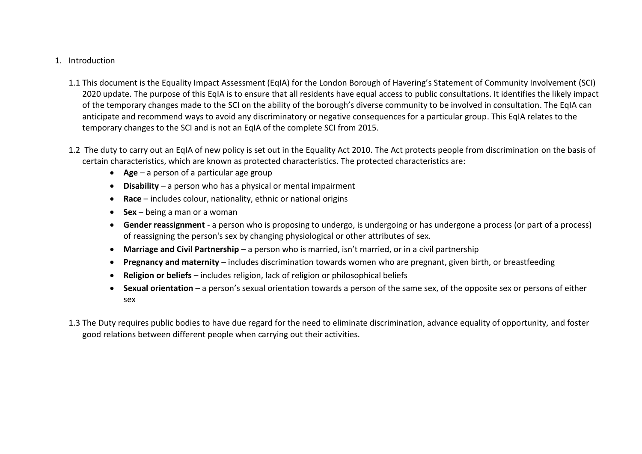## 1. Introduction

- 1.1 This document is the Equality Impact Assessment (EqIA) for the London Borough of Havering's Statement of Community Involvement (SCI) 2020 update. The purpose of this EqIA is to ensure that all residents have equal access to public consultations. It identifies the likely impact of the temporary changes made to the SCI on the ability of the borough's diverse community to be involved in consultation. The EqIA can anticipate and recommend ways to avoid any discriminatory or negative consequences for a particular group. This EqIA relates to the temporary changes to the SCI and is not an EqIA of the complete SCI from 2015.
- 1.2 The duty to carry out an EqIA of new policy is set out in the Equality Act 2010. The Act protects people from discrimination on the basis of certain characteristics, which are known as protected characteristics. The protected characteristics are:
	- **Age** a person of a particular age group
	- **Disability** a person who has a physical or mental impairment
	- **Race** includes colour, nationality, ethnic or national origins
	- **Sex** being a man or a woman
	- x **Gender reassignment** a person who is proposing to undergo, is undergoing or has undergone a process (or part of a process) of reassigning the person's sex by changing physiological or other attributes of sex.
	- **Marriage and Civil Partnership** a person who is married, isn't married, or in a civil partnership
	- **Pregnancy and maternity** includes discrimination towards women who are pregnant, given birth, or breastfeeding
	- x **Religion or beliefs** includes religion, lack of religion or philosophical beliefs
	- x **Sexual orientation** a person's sexual orientation towards a person of the same sex, of the opposite sex or persons of either sex
- 1.3 The Duty requires public bodies to have due regard for the need to eliminate discrimination, advance equality of opportunity, and foster good relations between different people when carrying out their activities.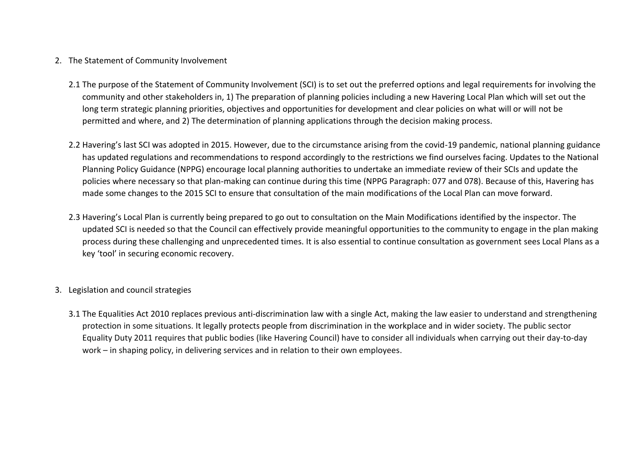## 2. The Statement of Community Involvement

- 2.1 The purpose of the Statement of Community Involvement (SCI) is to set out the preferred options and legal requirements for involving the community and other stakeholders in, 1) The preparation of planning policies including a new Havering Local Plan which will set out the long term strategic planning priorities, objectives and opportunities for development and clear policies on what will or will not be permitted and where, and 2) The determination of planning applications through the decision making process.
- 2.2 Havering's last SCI was adopted in 2015. However, due to the circumstance arising from the covid-19 pandemic, national planning guidance has updated regulations and recommendations to respond accordingly to the restrictions we find ourselves facing. Updates to the National Planning Policy Guidance (NPPG) encourage local planning authorities to undertake an immediate review of their SCIs and update the policies where necessary so that plan-making can continue during this time (NPPG Paragraph: 077 and 078). Because of this, Havering has made some changes to the 2015 SCI to ensure that consultation of the main modifications of the Local Plan can move forward.
- 2.3 Havering's Local Plan is currently being prepared to go out to consultation on the Main Modifications identified by the inspector. The updated SCI is needed so that the Council can effectively provide meaningful opportunities to the community to engage in the plan making process during these challenging and unprecedented times. It is also essential to continue consultation as government sees Local Plans as a key 'tool' in securing economic recovery.
- 3. Legislation and council strategies
	- 3.1 The Equalities Act 2010 replaces previous anti-discrimination law with a single Act, making the law easier to understand and strengthening protection in some situations. It legally protects people from discrimination in the workplace and in wider society. The public sector Equality Duty 2011 requires that public bodies (like Havering Council) have to consider all individuals when carrying out their day-to-day work – in shaping policy, in delivering services and in relation to their own employees.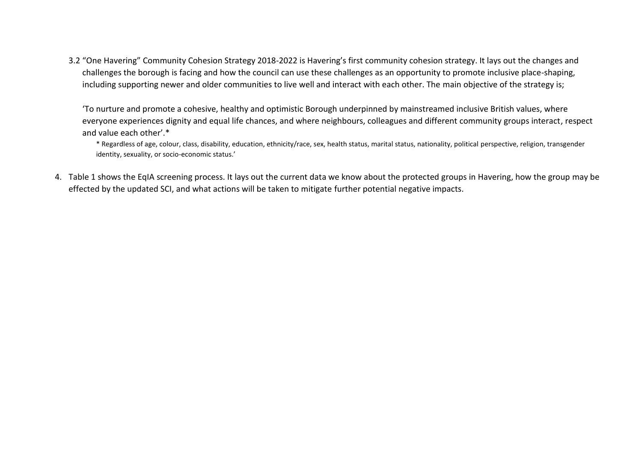3.2 "One Havering" Community Cohesion Strategy 2018-2022 is Havering's first community cohesion strategy. It lays out the changes and challenges the borough is facing and how the council can use these challenges as an opportunity to promote inclusive place-shaping, including supporting newer and older communities to live well and interact with each other. The main objective of the strategy is;

'To nurture and promote a cohesive, healthy and optimistic Borough underpinned by mainstreamed inclusive British values, where everyone experiences dignity and equal life chances, and where neighbours, colleagues and different community groups interact, respect and value each other'.\*

\* Regardless of age, colour, class, disability, education, ethnicity/race, sex, health status, marital status, nationality, political perspective, religion, transgender identity, sexuality, or socio-economic status.'

4. Table 1 shows the EqIA screening process. It lays out the current data we know about the protected groups in Havering, how the group may be effected by the updated SCI, and what actions will be taken to mitigate further potential negative impacts.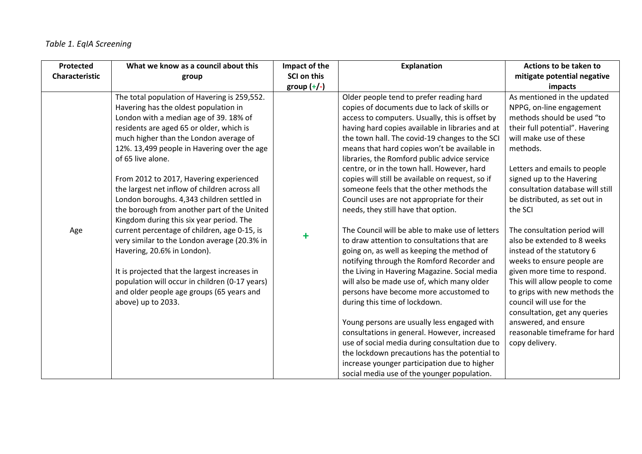| Protected      | What we know as a council about this           | Impact of the | <b>Explanation</b>                               | Actions to be taken to           |
|----------------|------------------------------------------------|---------------|--------------------------------------------------|----------------------------------|
| Characteristic | group                                          | SCI on this   |                                                  | mitigate potential negative      |
|                |                                                | group $(+/-)$ |                                                  | impacts                          |
|                | The total population of Havering is 259,552.   |               | Older people tend to prefer reading hard         | As mentioned in the updated      |
|                | Havering has the oldest population in          |               | copies of documents due to lack of skills or     | NPPG, on-line engagement         |
|                | London with a median age of 39. 18% of         |               | access to computers. Usually, this is offset by  | methods should be used "to       |
|                | residents are aged 65 or older, which is       |               | having hard copies available in libraries and at | their full potential". Havering  |
|                | much higher than the London average of         |               | the town hall. The covid-19 changes to the SCI   | will make use of these           |
|                | 12%. 13,499 people in Havering over the age    |               | means that hard copies won't be available in     | methods.                         |
|                | of 65 live alone.                              |               | libraries, the Romford public advice service     |                                  |
|                |                                                |               | centre, or in the town hall. However, hard       | Letters and emails to people     |
|                | From 2012 to 2017, Havering experienced        |               | copies will still be available on request, so if | signed up to the Havering        |
|                | the largest net inflow of children across all  |               | someone feels that the other methods the         | consultation database will still |
|                | London boroughs. 4,343 children settled in     |               | Council uses are not appropriate for their       | be distributed, as set out in    |
|                | the borough from another part of the United    |               | needs, they still have that option.              | the SCI                          |
|                | Kingdom during this six year period. The       |               |                                                  |                                  |
| Age            | current percentage of children, age 0-15, is   | $\ddagger$    | The Council will be able to make use of letters  | The consultation period will     |
|                | very similar to the London average (20.3% in   |               | to draw attention to consultations that are      | also be extended to 8 weeks      |
|                | Havering, 20.6% in London).                    |               | going on, as well as keeping the method of       | instead of the statutory 6       |
|                |                                                |               | notifying through the Romford Recorder and       | weeks to ensure people are       |
|                | It is projected that the largest increases in  |               | the Living in Havering Magazine. Social media    | given more time to respond.      |
|                | population will occur in children (0-17 years) |               | will also be made use of, which many older       | This will allow people to come   |
|                | and older people age groups (65 years and      |               | persons have become more accustomed to           | to grips with new methods the    |
|                | above) up to 2033.                             |               | during this time of lockdown.                    | council will use for the         |
|                |                                                |               |                                                  | consultation, get any queries    |
|                |                                                |               | Young persons are usually less engaged with      | answered, and ensure             |
|                |                                                |               | consultations in general. However, increased     | reasonable timeframe for hard    |
|                |                                                |               | use of social media during consultation due to   | copy delivery.                   |
|                |                                                |               | the lockdown precautions has the potential to    |                                  |
|                |                                                |               | increase younger participation due to higher     |                                  |
|                |                                                |               | social media use of the younger population.      |                                  |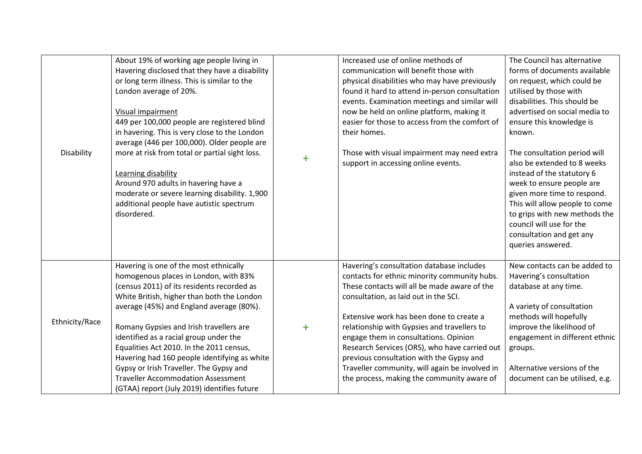| Disability     | About 19% of working age people living in<br>Havering disclosed that they have a disability<br>or long term illness. This is similar to the<br>London average of 20%.<br>Visual impairment<br>449 per 100,000 people are registered blind<br>in havering. This is very close to the London<br>average (446 per 100,000). Older people are<br>more at risk from total or partial sight loss.<br>Learning disability<br>Around 970 adults in havering have a<br>moderate or severe learning disability. 1,900<br>additional people have autistic spectrum<br>disordered. | ╋ | Increased use of online methods of<br>communication will benefit those with<br>physical disabilities who may have previously<br>found it hard to attend in-person consultation<br>events. Examination meetings and similar will<br>now be held on online platform, making it<br>easier for those to access from the comfort of<br>their homes.<br>Those with visual impairment may need extra<br>support in accessing online events.                                                                                | The Council has alternative<br>forms of documents available<br>on request, which could be<br>utilised by those with<br>disabilities. This should be<br>advertised on social media to<br>ensure this knowledge is<br>known.<br>The consultation period will<br>also be extended to 8 weeks<br>instead of the statutory 6<br>week to ensure people are<br>given more time to respond.<br>This will allow people to come<br>to grips with new methods the<br>council will use for the<br>consultation and get any<br>queries answered. |
|----------------|------------------------------------------------------------------------------------------------------------------------------------------------------------------------------------------------------------------------------------------------------------------------------------------------------------------------------------------------------------------------------------------------------------------------------------------------------------------------------------------------------------------------------------------------------------------------|---|---------------------------------------------------------------------------------------------------------------------------------------------------------------------------------------------------------------------------------------------------------------------------------------------------------------------------------------------------------------------------------------------------------------------------------------------------------------------------------------------------------------------|-------------------------------------------------------------------------------------------------------------------------------------------------------------------------------------------------------------------------------------------------------------------------------------------------------------------------------------------------------------------------------------------------------------------------------------------------------------------------------------------------------------------------------------|
| Ethnicity/Race | Havering is one of the most ethnically<br>homogenous places in London, with 83%<br>(census 2011) of its residents recorded as<br>White British, higher than both the London<br>average (45%) and England average (80%).<br>Romany Gypsies and Irish travellers are<br>identified as a racial group under the<br>Equalities Act 2010. In the 2011 census,<br>Havering had 160 people identifying as white<br>Gypsy or Irish Traveller. The Gypsy and<br><b>Traveller Accommodation Assessment</b><br>(GTAA) report (July 2019) identifies future                        | ╋ | Havering's consultation database includes<br>contacts for ethnic minority community hubs.<br>These contacts will all be made aware of the<br>consultation, as laid out in the SCI.<br>Extensive work has been done to create a<br>relationship with Gypsies and travellers to<br>engage them in consultations. Opinion<br>Research Services (ORS), who have carried out<br>previous consultation with the Gypsy and<br>Traveller community, will again be involved in<br>the process, making the community aware of | New contacts can be added to<br>Havering's consultation<br>database at any time.<br>A variety of consultation<br>methods will hopefully<br>improve the likelihood of<br>engagement in different ethnic<br>groups.<br>Alternative versions of the<br>document can be utilised, e.g.                                                                                                                                                                                                                                                  |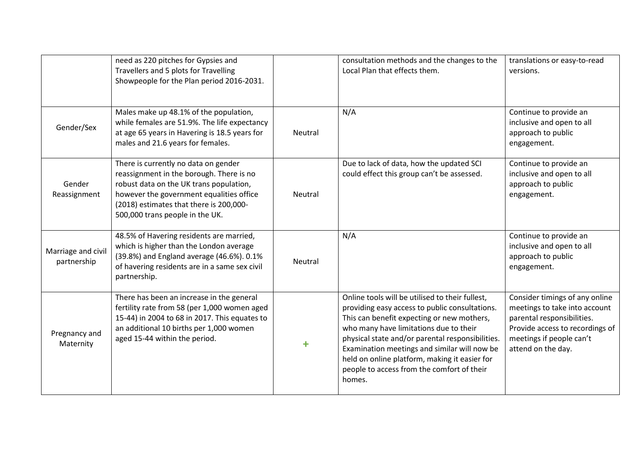|                                   | need as 220 pitches for Gypsies and<br>Travellers and 5 plots for Travelling<br>Showpeople for the Plan period 2016-2031.                                                                                                                             |         | consultation methods and the changes to the<br>Local Plan that effects them.                                                                                                                                                                                                                                                                                                                           | translations or easy-to-read<br>versions.                                                                                                                                          |
|-----------------------------------|-------------------------------------------------------------------------------------------------------------------------------------------------------------------------------------------------------------------------------------------------------|---------|--------------------------------------------------------------------------------------------------------------------------------------------------------------------------------------------------------------------------------------------------------------------------------------------------------------------------------------------------------------------------------------------------------|------------------------------------------------------------------------------------------------------------------------------------------------------------------------------------|
| Gender/Sex                        | Males make up 48.1% of the population,<br>while females are 51.9%. The life expectancy<br>at age 65 years in Havering is 18.5 years for<br>males and 21.6 years for females.                                                                          | Neutral | N/A                                                                                                                                                                                                                                                                                                                                                                                                    | Continue to provide an<br>inclusive and open to all<br>approach to public<br>engagement.                                                                                           |
| Gender<br>Reassignment            | There is currently no data on gender<br>reassignment in the borough. There is no<br>robust data on the UK trans population,<br>however the government equalities office<br>(2018) estimates that there is 200,000-<br>500,000 trans people in the UK. | Neutral | Due to lack of data, how the updated SCI<br>could effect this group can't be assessed.                                                                                                                                                                                                                                                                                                                 | Continue to provide an<br>inclusive and open to all<br>approach to public<br>engagement.                                                                                           |
| Marriage and civil<br>partnership | 48.5% of Havering residents are married,<br>which is higher than the London average<br>(39.8%) and England average (46.6%). 0.1%<br>of havering residents are in a same sex civil<br>partnership.                                                     | Neutral | N/A                                                                                                                                                                                                                                                                                                                                                                                                    | Continue to provide an<br>inclusive and open to all<br>approach to public<br>engagement.                                                                                           |
| Pregnancy and<br>Maternity        | There has been an increase in the general<br>fertility rate from 58 (per 1,000 women aged<br>15-44) in 2004 to 68 in 2017. This equates to<br>an additional 10 births per 1,000 women<br>aged 15-44 within the period.                                | ╋       | Online tools will be utilised to their fullest,<br>providing easy access to public consultations.<br>This can benefit expecting or new mothers,<br>who many have limitations due to their<br>physical state and/or parental responsibilities.<br>Examination meetings and similar will now be<br>held on online platform, making it easier for<br>people to access from the comfort of their<br>homes. | Consider timings of any online<br>meetings to take into account<br>parental responsibilities.<br>Provide access to recordings of<br>meetings if people can't<br>attend on the day. |